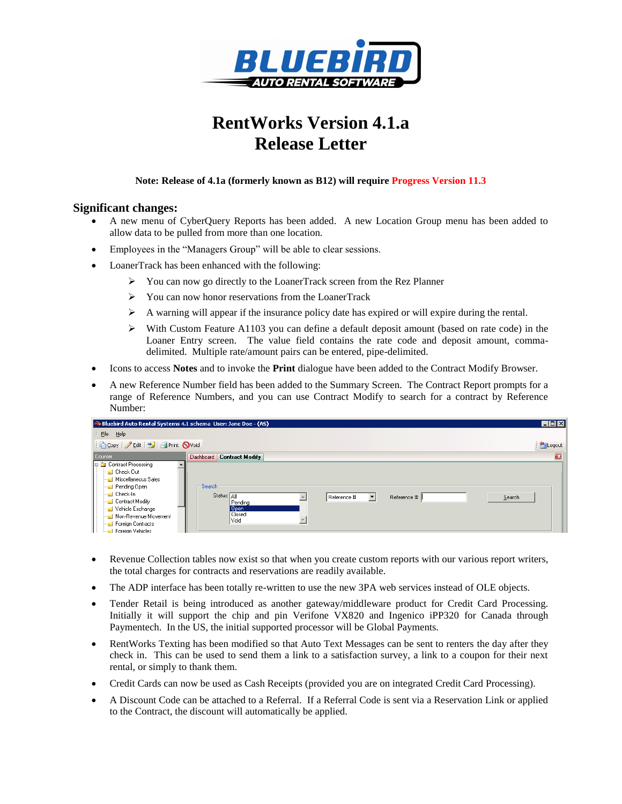

# **RentWorks Version 4.1.a Release Letter**

#### **Note: Release of 4.1a (formerly known as B12) will require Progress Version 11.3**

### **Significant changes:**

- A new menu of CyberQuery Reports has been added. A new Location Group menu has been added to allow data to be pulled from more than one location.
- Employees in the "Managers Group" will be able to clear sessions.
- LoanerTrack has been enhanced with the following:
	- $\triangleright$  You can now go directly to the LoanerTrack screen from the Rez Planner
	- You can now honor reservations from the LoanerTrack
	- $\triangleright$  A warning will appear if the insurance policy date has expired or will expire during the rental.
	- $\triangleright$  With Custom Feature A1103 you can define a default deposit amount (based on rate code) in the Loaner Entry screen. The value field contains the rate code and deposit amount, commadelimited. Multiple rate/amount pairs can be entered, pipe-delimited.
- Icons to access **Notes** and to invoke the **Print** dialogue have been added to the Contract Modify Browser.
- A new Reference Number field has been added to the Summary Screen. The Contract Report prompts for a range of Reference Numbers, and you can use Contract Modify to search for a contract by Reference Number:

| Bluebird Auto Rental Systems 4.1 schema User: Jane Doe - (AS)                                                                                                                                                                                                           |                                                                                                                   | $\blacksquare\square$ $\times$ |
|-------------------------------------------------------------------------------------------------------------------------------------------------------------------------------------------------------------------------------------------------------------------------|-------------------------------------------------------------------------------------------------------------------|--------------------------------|
| File Help                                                                                                                                                                                                                                                               |                                                                                                                   |                                |
| Copy   Edit   9   4 Print Noid                                                                                                                                                                                                                                          |                                                                                                                   | Logout                         |
| Counter                                                                                                                                                                                                                                                                 | Dashboard Contract Modify                                                                                         | $\mathbf{z}$                   |
| I ⊟- Eu Contract Processing<br><b>Le</b> Check-Out<br>Miscellaneous Sales<br><b>Pending Open</b><br><b>Leck-In</b><br>Contract Modify<br>— <mark>⊾</mark> Vehicle Exchange<br>— <mark>⊾</mark> Non-Revenue Movement<br><b>Ext</b> Foreign Contracts<br>Foreign Vehicles | —Search:<br>Status: All<br>Reference #<br>Reference #:<br>Search<br>▼∣<br>Pending<br>  Open <br>l Closed<br> Void |                                |

- Revenue Collection tables now exist so that when you create custom reports with our various report writers, the total charges for contracts and reservations are readily available.
- The ADP interface has been totally re-written to use the new 3PA web services instead of OLE objects.
- Tender Retail is being introduced as another gateway/middleware product for Credit Card Processing. Initially it will support the chip and pin Verifone VX820 and Ingenico iPP320 for Canada through Paymentech. In the US, the initial supported processor will be Global Payments.
- RentWorks Texting has been modified so that Auto Text Messages can be sent to renters the day after they check in. This can be used to send them a link to a satisfaction survey, a link to a coupon for their next rental, or simply to thank them.
- Credit Cards can now be used as Cash Receipts (provided you are on integrated Credit Card Processing).
- A Discount Code can be attached to a Referral. If a Referral Code is sent via a Reservation Link or applied to the Contract, the discount will automatically be applied.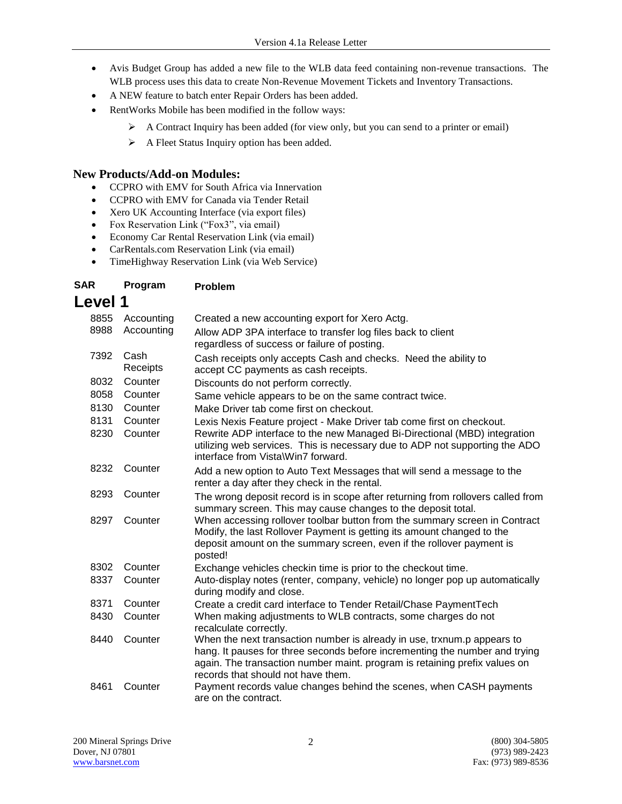- Avis Budget Group has added a new file to the WLB data feed containing non-revenue transactions. The WLB process uses this data to create Non-Revenue Movement Tickets and Inventory Transactions.
- A NEW feature to batch enter Repair Orders has been added.
- RentWorks Mobile has been modified in the follow ways:
	- $\triangleright$  A Contract Inquiry has been added (for view only, but you can send to a printer or email)
	- A Fleet Status Inquiry option has been added.

### **New Products/Add-on Modules:**

- CCPRO with EMV for South Africa via Innervation
- CCPRO with EMV for Canada via Tender Retail
- Xero UK Accounting Interface (via export files)
- Fox Reservation Link ("Fox3", via email)
- Economy Car Rental Reservation Link (via email)
- CarRentals.com Reservation Link (via email)
- TimeHighway Reservation Link (via Web Service)

#### **SAR Program Problem**

## **Level 1**

| 8855 | Accounting       | Created a new accounting export for Xero Actg.                                                                                                                                                                                                                             |
|------|------------------|----------------------------------------------------------------------------------------------------------------------------------------------------------------------------------------------------------------------------------------------------------------------------|
| 8988 | Accounting       | Allow ADP 3PA interface to transfer log files back to client<br>regardless of success or failure of posting.                                                                                                                                                               |
| 7392 | Cash<br>Receipts | Cash receipts only accepts Cash and checks. Need the ability to<br>accept CC payments as cash receipts.                                                                                                                                                                    |
| 8032 | Counter          | Discounts do not perform correctly.                                                                                                                                                                                                                                        |
| 8058 | Counter          | Same vehicle appears to be on the same contract twice.                                                                                                                                                                                                                     |
| 8130 | Counter          | Make Driver tab come first on checkout.                                                                                                                                                                                                                                    |
| 8131 | Counter          | Lexis Nexis Feature project - Make Driver tab come first on checkout.                                                                                                                                                                                                      |
| 8230 | Counter          | Rewrite ADP interface to the new Managed Bi-Directional (MBD) integration<br>utilizing web services. This is necessary due to ADP not supporting the ADO<br>interface from Vista\Win7 forward.                                                                             |
| 8232 | Counter          | Add a new option to Auto Text Messages that will send a message to the<br>renter a day after they check in the rental.                                                                                                                                                     |
| 8293 | Counter          | The wrong deposit record is in scope after returning from rollovers called from<br>summary screen. This may cause changes to the deposit total.                                                                                                                            |
| 8297 | Counter          | When accessing rollover toolbar button from the summary screen in Contract<br>Modify, the last Rollover Payment is getting its amount changed to the<br>deposit amount on the summary screen, even if the rollover payment is<br>posted!                                   |
| 8302 | Counter          | Exchange vehicles checkin time is prior to the checkout time.                                                                                                                                                                                                              |
| 8337 | Counter          | Auto-display notes (renter, company, vehicle) no longer pop up automatically<br>during modify and close.                                                                                                                                                                   |
| 8371 | Counter          | Create a credit card interface to Tender Retail/Chase PaymentTech                                                                                                                                                                                                          |
| 8430 | Counter          | When making adjustments to WLB contracts, some charges do not<br>recalculate correctly.                                                                                                                                                                                    |
| 8440 | Counter          | When the next transaction number is already in use, trxnum.p appears to<br>hang. It pauses for three seconds before incrementing the number and trying<br>again. The transaction number maint. program is retaining prefix values on<br>records that should not have them. |
| 8461 | Counter          | Payment records value changes behind the scenes, when CASH payments<br>are on the contract.                                                                                                                                                                                |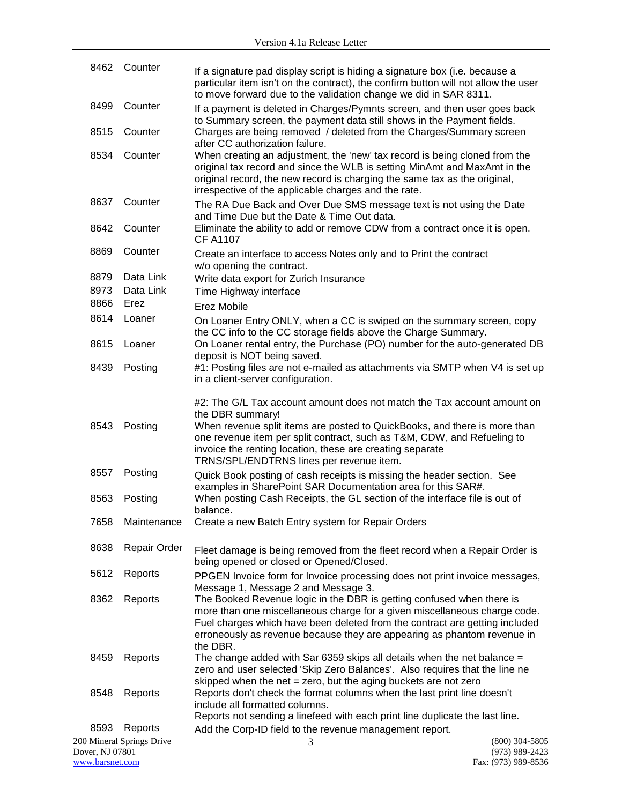| 8462            | Counter                   | If a signature pad display script is hiding a signature box (i.e. because a<br>particular item isn't on the contract), the confirm button will not allow the user<br>to move forward due to the validation change we did in SAR 8311.                                                                                                                        |                  |
|-----------------|---------------------------|--------------------------------------------------------------------------------------------------------------------------------------------------------------------------------------------------------------------------------------------------------------------------------------------------------------------------------------------------------------|------------------|
| 8499            | Counter                   | If a payment is deleted in Charges/Pymnts screen, and then user goes back<br>to Summary screen, the payment data still shows in the Payment fields.                                                                                                                                                                                                          |                  |
| 8515            | Counter                   | Charges are being removed / deleted from the Charges/Summary screen<br>after CC authorization failure.                                                                                                                                                                                                                                                       |                  |
| 8534            | Counter                   | When creating an adjustment, the 'new' tax record is being cloned from the<br>original tax record and since the WLB is setting MinAmt and MaxAmt in the<br>original record, the new record is charging the same tax as the original,<br>irrespective of the applicable charges and the rate.                                                                 |                  |
| 8637            | Counter                   | The RA Due Back and Over Due SMS message text is not using the Date<br>and Time Due but the Date & Time Out data.                                                                                                                                                                                                                                            |                  |
| 8642            | Counter                   | Eliminate the ability to add or remove CDW from a contract once it is open.<br><b>CF A1107</b>                                                                                                                                                                                                                                                               |                  |
| 8869            | Counter                   | Create an interface to access Notes only and to Print the contract<br>w/o opening the contract.                                                                                                                                                                                                                                                              |                  |
| 8879            | Data Link                 | Write data export for Zurich Insurance                                                                                                                                                                                                                                                                                                                       |                  |
| 8973            | Data Link                 | Time Highway interface                                                                                                                                                                                                                                                                                                                                       |                  |
| 8866            | Erez                      | Erez Mobile                                                                                                                                                                                                                                                                                                                                                  |                  |
| 8614            | Loaner                    |                                                                                                                                                                                                                                                                                                                                                              |                  |
|                 |                           | On Loaner Entry ONLY, when a CC is swiped on the summary screen, copy<br>the CC info to the CC storage fields above the Charge Summary.                                                                                                                                                                                                                      |                  |
| 8615            | Loaner                    | On Loaner rental entry, the Purchase (PO) number for the auto-generated DB<br>deposit is NOT being saved.                                                                                                                                                                                                                                                    |                  |
| 8439            | Posting                   | #1: Posting files are not e-mailed as attachments via SMTP when V4 is set up<br>in a client-server configuration.                                                                                                                                                                                                                                            |                  |
| 8543            | Posting                   | #2: The G/L Tax account amount does not match the Tax account amount on<br>the DBR summary!<br>When revenue split items are posted to QuickBooks, and there is more than<br>one revenue item per split contract, such as T&M, CDW, and Refueling to<br>invoice the renting location, these are creating separate<br>TRNS/SPL/ENDTRNS lines per revenue item. |                  |
| 8557            | Posting                   | Quick Book posting of cash receipts is missing the header section. See                                                                                                                                                                                                                                                                                       |                  |
| 8563            | Posting                   | examples in SharePoint SAR Documentation area for this SAR#.<br>When posting Cash Receipts, the GL section of the interface file is out of                                                                                                                                                                                                                   |                  |
|                 |                           | balance.                                                                                                                                                                                                                                                                                                                                                     |                  |
| 7658            | Maintenance               | Create a new Batch Entry system for Repair Orders                                                                                                                                                                                                                                                                                                            |                  |
| 8638            | Repair Order              | Fleet damage is being removed from the fleet record when a Repair Order is<br>being opened or closed or Opened/Closed.                                                                                                                                                                                                                                       |                  |
| 5612            | Reports                   | PPGEN Invoice form for Invoice processing does not print invoice messages,<br>Message 1, Message 2 and Message 3.                                                                                                                                                                                                                                            |                  |
| 8362            | Reports                   | The Booked Revenue logic in the DBR is getting confused when there is<br>more than one miscellaneous charge for a given miscellaneous charge code.<br>Fuel charges which have been deleted from the contract are getting included<br>erroneously as revenue because they are appearing as phantom revenue in<br>the DBR.                                     |                  |
| 8459            | Reports                   | The change added with Sar 6359 skips all details when the net balance $=$<br>zero and user selected 'Skip Zero Balances'. Also requires that the line ne<br>skipped when the net $=$ zero, but the aging buckets are not zero                                                                                                                                |                  |
| 8548            | Reports                   | Reports don't check the format columns when the last print line doesn't<br>include all formatted columns.<br>Reports not sending a linefeed with each print line duplicate the last line.                                                                                                                                                                    |                  |
| 8593            | Reports                   | Add the Corp-ID field to the revenue management report.                                                                                                                                                                                                                                                                                                      |                  |
|                 | 200 Mineral Springs Drive | 3                                                                                                                                                                                                                                                                                                                                                            | $(800)$ 304-5805 |
| Dover, NJ 07801 |                           |                                                                                                                                                                                                                                                                                                                                                              | $(973)$ 989-2423 |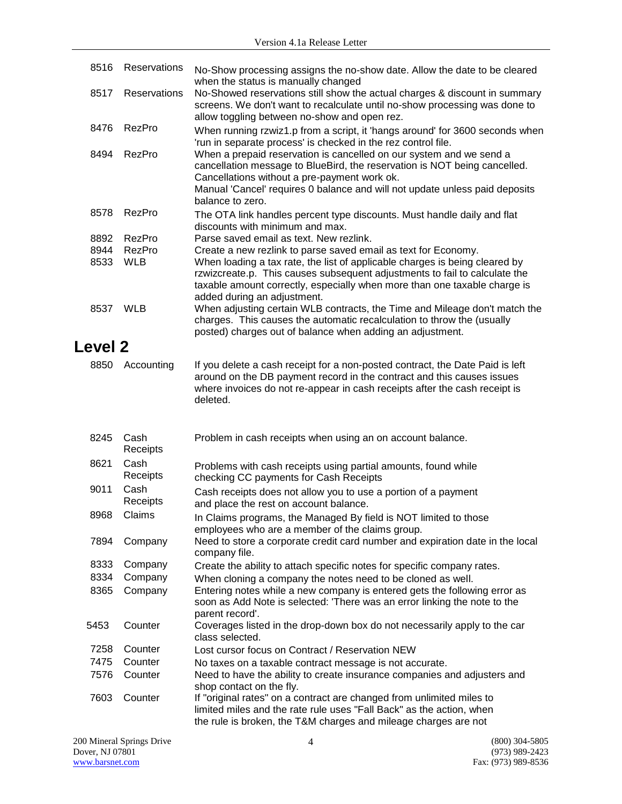| 8516           | Reservations     | No-Show processing assigns the no-show date. Allow the date to be cleared<br>when the status is manually changed                                                                                                                                                                                    |
|----------------|------------------|-----------------------------------------------------------------------------------------------------------------------------------------------------------------------------------------------------------------------------------------------------------------------------------------------------|
| 8517           | Reservations     | No-Showed reservations still show the actual charges & discount in summary<br>screens. We don't want to recalculate until no-show processing was done to<br>allow toggling between no-show and open rez.                                                                                            |
| 8476           | RezPro           | When running rzwiz1.p from a script, it 'hangs around' for 3600 seconds when<br>'run in separate process' is checked in the rez control file.                                                                                                                                                       |
| 8494           | RezPro           | When a prepaid reservation is cancelled on our system and we send a<br>cancellation message to BlueBird, the reservation is NOT being cancelled.<br>Cancellations without a pre-payment work ok.<br>Manual 'Cancel' requires 0 balance and will not update unless paid deposits<br>balance to zero. |
| 8578           | RezPro           | The OTA link handles percent type discounts. Must handle daily and flat<br>discounts with minimum and max.                                                                                                                                                                                          |
| 8892           | RezPro           | Parse saved email as text. New rezlink.                                                                                                                                                                                                                                                             |
| 8944           | RezPro           | Create a new rezlink to parse saved email as text for Economy.                                                                                                                                                                                                                                      |
| 8533           | <b>WLB</b>       | When loading a tax rate, the list of applicable charges is being cleared by<br>rzwizcreate.p. This causes subsequent adjustments to fail to calculate the<br>taxable amount correctly, especially when more than one taxable charge is<br>added during an adjustment.                               |
| 8537 WLB       |                  | When adjusting certain WLB contracts, the Time and Mileage don't match the<br>charges. This causes the automatic recalculation to throw the (usually<br>posted) charges out of balance when adding an adjustment.                                                                                   |
| <b>Level 2</b> |                  |                                                                                                                                                                                                                                                                                                     |
| 8850           | Accounting       | If you delete a cash receipt for a non-posted contract, the Date Paid is left<br>around on the DB payment record in the contract and this causes issues<br>where invoices do not re-appear in cash receipts after the cash receipt is<br>deleted.                                                   |
| 8245           | Cash<br>Receipts | Problem in cash receipts when using an on account balance.                                                                                                                                                                                                                                          |
| 8621           | Cash<br>Receipts | Problems with cash receipts using partial amounts, found while<br>checking CC payments for Cash Receipts                                                                                                                                                                                            |
| 9011           | Cash<br>Receipts | Cash receipts does not allow you to use a portion of a payment<br>and place the rest on account balance.                                                                                                                                                                                            |
|                | 8968 Claims      | In Claims programs, the Managed By field is NOT limited to those<br>employees who are a member of the claims group.                                                                                                                                                                                 |
| 7894           | Company          | Need to store a corporate credit card number and expiration date in the local<br>company file.                                                                                                                                                                                                      |
| 8333           | Company          | Create the ability to attach specific notes for specific company rates.                                                                                                                                                                                                                             |
| 8334           | Company          | When cloning a company the notes need to be cloned as well.                                                                                                                                                                                                                                         |
| 8365           | Company          | Entering notes while a new company is entered gets the following error as<br>soon as Add Note is selected: 'There was an error linking the note to the<br>parent record'.                                                                                                                           |
| 5453           | Counter          | Coverages listed in the drop-down box do not necessarily apply to the car<br>class selected.                                                                                                                                                                                                        |
| 7258           | Counter          | Lost cursor focus on Contract / Reservation NEW                                                                                                                                                                                                                                                     |
| 7475           | Counter          | No taxes on a taxable contract message is not accurate.                                                                                                                                                                                                                                             |
| 7576           | Counter          | Need to have the ability to create insurance companies and adjusters and<br>shop contact on the fly.                                                                                                                                                                                                |
| 7603           | Counter          | If "original rates" on a contract are changed from unlimited miles to<br>limited miles and the rate rule uses "Fall Back" as the action, when<br>the rule is broken, the T&M charges and mileage charges are not                                                                                    |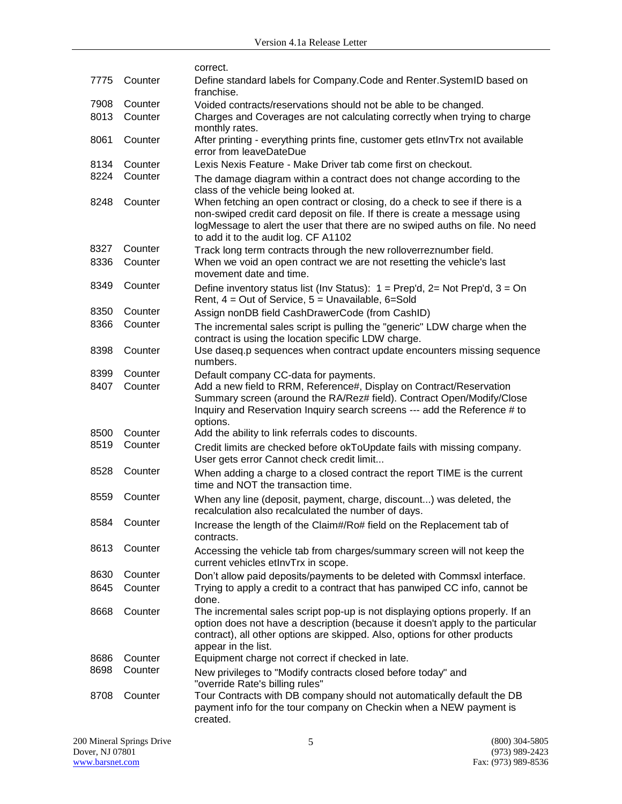|      |         | correct.                                                                                                                                                                                                                                                                         |
|------|---------|----------------------------------------------------------------------------------------------------------------------------------------------------------------------------------------------------------------------------------------------------------------------------------|
| 7775 | Counter | Define standard labels for Company. Code and Renter. SystemID based on<br>franchise.                                                                                                                                                                                             |
| 7908 | Counter | Voided contracts/reservations should not be able to be changed.                                                                                                                                                                                                                  |
| 8013 | Counter | Charges and Coverages are not calculating correctly when trying to charge<br>monthly rates.                                                                                                                                                                                      |
| 8061 | Counter | After printing - everything prints fine, customer gets etInvTrx not available<br>error from leaveDateDue                                                                                                                                                                         |
| 8134 | Counter | Lexis Nexis Feature - Make Driver tab come first on checkout.                                                                                                                                                                                                                    |
| 8224 | Counter | The damage diagram within a contract does not change according to the<br>class of the vehicle being looked at.                                                                                                                                                                   |
| 8248 | Counter | When fetching an open contract or closing, do a check to see if there is a<br>non-swiped credit card deposit on file. If there is create a message using<br>logMessage to alert the user that there are no swiped auths on file. No need<br>to add it to the audit log. CF A1102 |
| 8327 | Counter | Track long term contracts through the new rolloverreznumber field.                                                                                                                                                                                                               |
| 8336 | Counter | When we void an open contract we are not resetting the vehicle's last<br>movement date and time.                                                                                                                                                                                 |
| 8349 | Counter | Define inventory status list (Inv Status): $1 = Prep'd$ , $2 = Not Prep'd$ , $3 = On$<br>Rent, $4 = Out$ of Service, $5 = Unavailable$ , $6 = Sold$                                                                                                                              |
| 8350 | Counter | Assign nonDB field CashDrawerCode (from CashID)                                                                                                                                                                                                                                  |
| 8366 | Counter | The incremental sales script is pulling the "generic" LDW charge when the<br>contract is using the location specific LDW charge.                                                                                                                                                 |
| 8398 | Counter | Use daseq.p sequences when contract update encounters missing sequence<br>numbers.                                                                                                                                                                                               |
| 8399 | Counter | Default company CC-data for payments.                                                                                                                                                                                                                                            |
| 8407 | Counter | Add a new field to RRM, Reference#, Display on Contract/Reservation<br>Summary screen (around the RA/Rez# field). Contract Open/Modify/Close<br>Inquiry and Reservation Inquiry search screens --- add the Reference # to<br>options.                                            |
| 8500 | Counter | Add the ability to link referrals codes to discounts.                                                                                                                                                                                                                            |
| 8519 | Counter | Credit limits are checked before okToUpdate fails with missing company.<br>User gets error Cannot check credit limit                                                                                                                                                             |
| 8528 | Counter | When adding a charge to a closed contract the report TIME is the current<br>time and NOT the transaction time.                                                                                                                                                                   |
| 8559 | Counter | When any line (deposit, payment, charge, discount) was deleted, the<br>recalculation also recalculated the number of days.                                                                                                                                                       |
| 8584 | Counter | Increase the length of the Claim#/Ro# field on the Replacement tab of<br>contracts.                                                                                                                                                                                              |
| 8613 | Counter | Accessing the vehicle tab from charges/summary screen will not keep the<br>current vehicles etInvTrx in scope.                                                                                                                                                                   |
| 8630 | Counter | Don't allow paid deposits/payments to be deleted with Commsxl interface.                                                                                                                                                                                                         |
| 8645 | Counter | Trying to apply a credit to a contract that has panwiped CC info, cannot be<br>done.                                                                                                                                                                                             |
| 8668 | Counter | The incremental sales script pop-up is not displaying options properly. If an<br>option does not have a description (because it doesn't apply to the particular<br>contract), all other options are skipped. Also, options for other products<br>appear in the list.             |
| 8686 | Counter | Equipment charge not correct if checked in late.                                                                                                                                                                                                                                 |
| 8698 | Counter | New privileges to "Modify contracts closed before today" and                                                                                                                                                                                                                     |
|      |         | "override Rate's billing rules"                                                                                                                                                                                                                                                  |
| 8708 | Counter | Tour Contracts with DB company should not automatically default the DB<br>payment info for the tour company on Checkin when a NEW payment is<br>created.                                                                                                                         |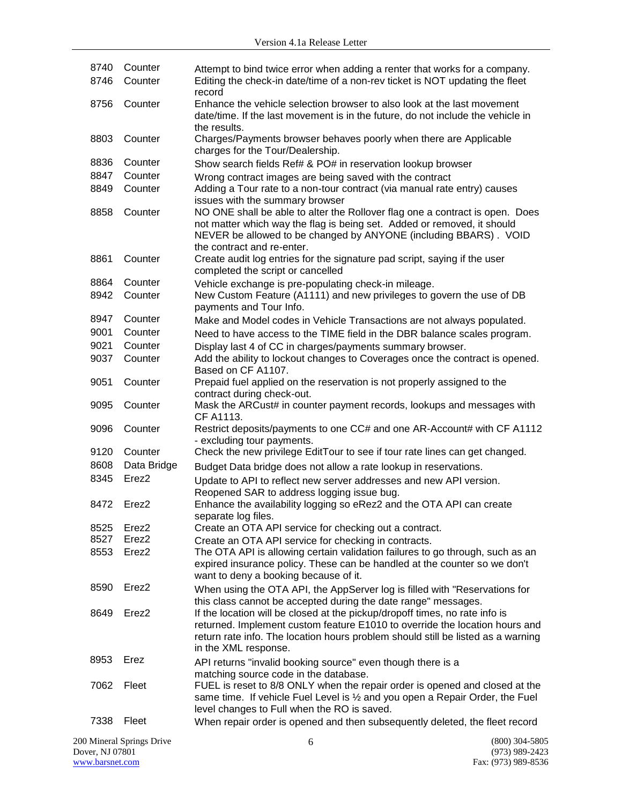| 8740<br>8746 | Counter<br>Counter        | Attempt to bind twice error when adding a renter that works for a company.<br>Editing the check-in date/time of a non-rev ticket is NOT updating the fleet                                                                                                             |                  |
|--------------|---------------------------|------------------------------------------------------------------------------------------------------------------------------------------------------------------------------------------------------------------------------------------------------------------------|------------------|
|              |                           | record                                                                                                                                                                                                                                                                 |                  |
| 8756         | Counter                   | Enhance the vehicle selection browser to also look at the last movement<br>date/time. If the last movement is in the future, do not include the vehicle in<br>the results.                                                                                             |                  |
| 8803         | Counter                   | Charges/Payments browser behaves poorly when there are Applicable<br>charges for the Tour/Dealership.                                                                                                                                                                  |                  |
| 8836         | Counter                   | Show search fields Ref# & PO# in reservation lookup browser                                                                                                                                                                                                            |                  |
| 8847         | Counter                   | Wrong contract images are being saved with the contract                                                                                                                                                                                                                |                  |
| 8849         | Counter                   | Adding a Tour rate to a non-tour contract (via manual rate entry) causes<br>issues with the summary browser                                                                                                                                                            |                  |
| 8858         | Counter                   | NO ONE shall be able to alter the Rollover flag one a contract is open. Does<br>not matter which way the flag is being set. Added or removed, it should<br>NEVER be allowed to be changed by ANYONE (including BBARS). VOID<br>the contract and re-enter.              |                  |
| 8861         | Counter                   | Create audit log entries for the signature pad script, saying if the user<br>completed the script or cancelled                                                                                                                                                         |                  |
| 8864         | Counter                   | Vehicle exchange is pre-populating check-in mileage.                                                                                                                                                                                                                   |                  |
| 8942         | Counter                   | New Custom Feature (A1111) and new privileges to govern the use of DB<br>payments and Tour Info.                                                                                                                                                                       |                  |
| 8947         | Counter                   | Make and Model codes in Vehicle Transactions are not always populated.                                                                                                                                                                                                 |                  |
| 9001         | Counter                   | Need to have access to the TIME field in the DBR balance scales program.                                                                                                                                                                                               |                  |
| 9021         | Counter                   | Display last 4 of CC in charges/payments summary browser.                                                                                                                                                                                                              |                  |
| 9037         | Counter                   | Add the ability to lockout changes to Coverages once the contract is opened.<br>Based on CF A1107.                                                                                                                                                                     |                  |
| 9051         | Counter                   | Prepaid fuel applied on the reservation is not properly assigned to the<br>contract during check-out.                                                                                                                                                                  |                  |
| 9095         | Counter                   | Mask the ARCust# in counter payment records, lookups and messages with<br>CF A1113.                                                                                                                                                                                    |                  |
| 9096         | Counter                   | Restrict deposits/payments to one CC# and one AR-Account# with CF A1112<br>- excluding tour payments.                                                                                                                                                                  |                  |
| 9120         | Counter                   | Check the new privilege EditTour to see if tour rate lines can get changed.                                                                                                                                                                                            |                  |
| 8608         | Data Bridge               | Budget Data bridge does not allow a rate lookup in reservations.                                                                                                                                                                                                       |                  |
| 8345         | Erez <sub>2</sub>         | Update to API to reflect new server addresses and new API version.<br>Reopened SAR to address logging issue bug.                                                                                                                                                       |                  |
| 8472         | Erez2                     | Enhance the availability logging so eRez2 and the OTA API can create<br>separate log files.                                                                                                                                                                            |                  |
| 8525         | Erez2                     | Create an OTA API service for checking out a contract.                                                                                                                                                                                                                 |                  |
| 8527         | Erez <sub>2</sub>         | Create an OTA API service for checking in contracts.                                                                                                                                                                                                                   |                  |
| 8553         | Erez2                     | The OTA API is allowing certain validation failures to go through, such as an<br>expired insurance policy. These can be handled at the counter so we don't<br>want to deny a booking because of it.                                                                    |                  |
| 8590         | Erez <sub>2</sub>         | When using the OTA API, the AppServer log is filled with "Reservations for<br>this class cannot be accepted during the date range" messages.                                                                                                                           |                  |
| 8649         | Erez <sub>2</sub>         | If the location will be closed at the pickup/dropoff times, no rate info is<br>returned. Implement custom feature E1010 to override the location hours and<br>return rate info. The location hours problem should still be listed as a warning<br>in the XML response. |                  |
| 8953         | Erez                      | API returns "invalid booking source" even though there is a<br>matching source code in the database.                                                                                                                                                                   |                  |
| 7062         | Fleet                     | FUEL is reset to 8/8 ONLY when the repair order is opened and closed at the<br>same time. If vehicle Fuel Level is 1/2 and you open a Repair Order, the Fuel<br>level changes to Full when the RO is saved.                                                            |                  |
| 7338         | Fleet                     | When repair order is opened and then subsequently deleted, the fleet record                                                                                                                                                                                            |                  |
|              | 200 Mineral Springs Drive | 6                                                                                                                                                                                                                                                                      | $(800)$ 304-5805 |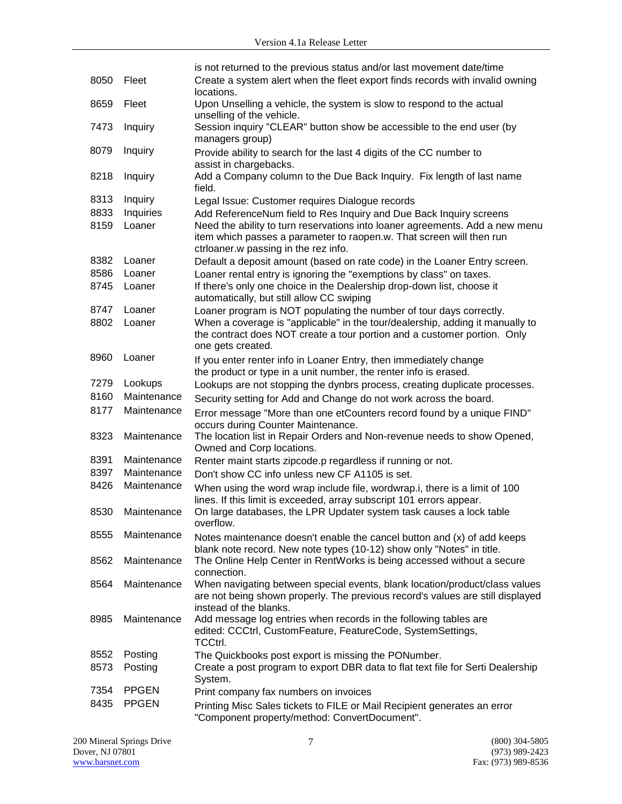|      |              | is not returned to the previous status and/or last movement date/time                                                                                         |
|------|--------------|---------------------------------------------------------------------------------------------------------------------------------------------------------------|
| 8050 | Fleet        | Create a system alert when the fleet export finds records with invalid owning<br>locations.                                                                   |
| 8659 | Fleet        | Upon Unselling a vehicle, the system is slow to respond to the actual<br>unselling of the vehicle.                                                            |
| 7473 | Inquiry      | Session inquiry "CLEAR" button show be accessible to the end user (by<br>managers group)                                                                      |
| 8079 | Inquiry      | Provide ability to search for the last 4 digits of the CC number to<br>assist in chargebacks.                                                                 |
| 8218 | Inquiry      | Add a Company column to the Due Back Inquiry. Fix length of last name<br>field.                                                                               |
| 8313 | Inquiry      | Legal Issue: Customer requires Dialogue records                                                                                                               |
| 8833 | Inquiries    | Add ReferenceNum field to Res Inquiry and Due Back Inquiry screens                                                                                            |
| 8159 | Loaner       | Need the ability to turn reservations into loaner agreements. Add a new menu                                                                                  |
|      |              | item which passes a parameter to raopen.w. That screen will then run<br>ctrloaner.w passing in the rez info.                                                  |
| 8382 | Loaner       | Default a deposit amount (based on rate code) in the Loaner Entry screen.                                                                                     |
| 8586 | Loaner       | Loaner rental entry is ignoring the "exemptions by class" on taxes.                                                                                           |
| 8745 | Loaner       | If there's only one choice in the Dealership drop-down list, choose it<br>automatically, but still allow CC swiping                                           |
| 8747 | Loaner       | Loaner program is NOT populating the number of tour days correctly.                                                                                           |
| 8802 | Loaner       | When a coverage is "applicable" in the tour/dealership, adding it manually to<br>the contract does NOT create a tour portion and a customer portion. Only     |
| 8960 | Loaner       | one gets created.                                                                                                                                             |
|      |              | If you enter renter info in Loaner Entry, then immediately change<br>the product or type in a unit number, the renter info is erased.                         |
| 7279 | Lookups      | Lookups are not stopping the dynbrs process, creating duplicate processes.                                                                                    |
| 8160 | Maintenance  | Security setting for Add and Change do not work across the board.                                                                                             |
| 8177 | Maintenance  | Error message "More than one etCounters record found by a unique FIND"<br>occurs during Counter Maintenance.                                                  |
| 8323 | Maintenance  | The location list in Repair Orders and Non-revenue needs to show Opened,<br>Owned and Corp locations.                                                         |
| 8391 | Maintenance  | Renter maint starts zipcode.p regardless if running or not.                                                                                                   |
| 8397 | Maintenance  | Don't show CC info unless new CF A1105 is set.                                                                                                                |
| 8426 | Maintenance  | When using the word wrap include file, wordwrap.i, there is a limit of 100<br>lines. If this limit is exceeded, array subscript 101 errors appear.            |
| 8530 | Maintenance  | On large databases, the LPR Updater system task causes a lock table<br>overflow.                                                                              |
| 8555 | Maintenance  | Notes maintenance doesn't enable the cancel button and (x) of add keeps<br>blank note record. New note types (10-12) show only "Notes" in title.              |
| 8562 | Maintenance  | The Online Help Center in RentWorks is being accessed without a secure<br>connection.                                                                         |
| 8564 | Maintenance  | When navigating between special events, blank location/product/class values<br>are not being shown properly. The previous record's values are still displayed |
| 8985 | Maintenance  | instead of the blanks.<br>Add message log entries when records in the following tables are                                                                    |
|      |              | edited: CCCtrl, CustomFeature, FeatureCode, SystemSettings,<br>TCCtrl.                                                                                        |
| 8552 | Posting      | The Quickbooks post export is missing the PONumber.                                                                                                           |
| 8573 | Posting      | Create a post program to export DBR data to flat text file for Serti Dealership<br>System.                                                                    |
| 7354 | <b>PPGEN</b> | Print company fax numbers on invoices                                                                                                                         |
| 8435 | <b>PPGEN</b> | Printing Misc Sales tickets to FILE or Mail Recipient generates an error<br>"Component property/method: ConvertDocument".                                     |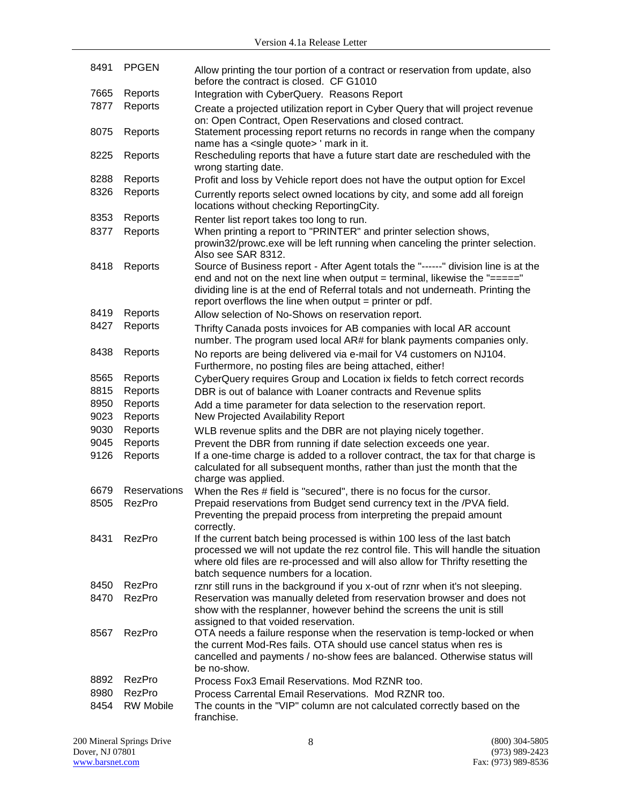| 8491 | <b>PPGEN</b>     | Allow printing the tour portion of a contract or reservation from update, also<br>before the contract is closed. CF G1010                                                                                                                                                                                      |
|------|------------------|----------------------------------------------------------------------------------------------------------------------------------------------------------------------------------------------------------------------------------------------------------------------------------------------------------------|
| 7665 | Reports          | Integration with CyberQuery. Reasons Report                                                                                                                                                                                                                                                                    |
| 7877 | Reports          | Create a projected utilization report in Cyber Query that will project revenue<br>on: Open Contract, Open Reservations and closed contract.                                                                                                                                                                    |
| 8075 | Reports          | Statement processing report returns no records in range when the company<br>name has a <single quote=""> ' mark in it.</single>                                                                                                                                                                                |
| 8225 | Reports          | Rescheduling reports that have a future start date are rescheduled with the<br>wrong starting date.                                                                                                                                                                                                            |
| 8288 | Reports          | Profit and loss by Vehicle report does not have the output option for Excel                                                                                                                                                                                                                                    |
| 8326 | Reports          | Currently reports select owned locations by city, and some add all foreign<br>locations without checking ReportingCity.                                                                                                                                                                                        |
| 8353 | Reports          | Renter list report takes too long to run.                                                                                                                                                                                                                                                                      |
| 8377 | Reports          | When printing a report to "PRINTER" and printer selection shows,<br>prowin32/prowc.exe will be left running when canceling the printer selection.<br>Also see SAR 8312.                                                                                                                                        |
| 8418 | Reports          | Source of Business report - After Agent totals the "------" division line is at the<br>end and not on the next line when output = terminal, likewise the "====="<br>dividing line is at the end of Referral totals and not underneath. Printing the<br>report overflows the line when output = printer or pdf. |
| 8419 | Reports          | Allow selection of No-Shows on reservation report.                                                                                                                                                                                                                                                             |
| 8427 | Reports          | Thrifty Canada posts invoices for AB companies with local AR account<br>number. The program used local AR# for blank payments companies only.                                                                                                                                                                  |
| 8438 | Reports          | No reports are being delivered via e-mail for V4 customers on NJ104.<br>Furthermore, no posting files are being attached, either!                                                                                                                                                                              |
| 8565 | Reports          | CyberQuery requires Group and Location ix fields to fetch correct records                                                                                                                                                                                                                                      |
| 8815 | Reports          | DBR is out of balance with Loaner contracts and Revenue splits                                                                                                                                                                                                                                                 |
| 8950 | Reports          | Add a time parameter for data selection to the reservation report.                                                                                                                                                                                                                                             |
| 9023 | Reports          | New Projected Availability Report                                                                                                                                                                                                                                                                              |
| 9030 | Reports          | WLB revenue splits and the DBR are not playing nicely together.                                                                                                                                                                                                                                                |
| 9045 | Reports          | Prevent the DBR from running if date selection exceeds one year.                                                                                                                                                                                                                                               |
| 9126 | Reports          | If a one-time charge is added to a rollover contract, the tax for that charge is<br>calculated for all subsequent months, rather than just the month that the<br>charge was applied.                                                                                                                           |
| 6679 | Reservations     | When the Res # field is "secured", there is no focus for the cursor.                                                                                                                                                                                                                                           |
| 8505 | RezPro           | Prepaid reservations from Budget send currency text in the /PVA field.<br>Preventing the prepaid process from interpreting the prepaid amount<br>correctly.                                                                                                                                                    |
| 8431 | RezPro           | If the current batch being processed is within 100 less of the last batch<br>processed we will not update the rez control file. This will handle the situation<br>where old files are re-processed and will also allow for Thrifty resetting the<br>batch sequence numbers for a location.                     |
| 8450 | RezPro           | rznr still runs in the background if you x-out of rznr when it's not sleeping.                                                                                                                                                                                                                                 |
| 8470 | RezPro           | Reservation was manually deleted from reservation browser and does not<br>show with the resplanner, however behind the screens the unit is still                                                                                                                                                               |
| 8567 | RezPro           | assigned to that voided reservation.<br>OTA needs a failure response when the reservation is temp-locked or when<br>the current Mod-Res fails. OTA should use cancel status when res is<br>cancelled and payments / no-show fees are balanced. Otherwise status will<br>be no-show.                            |
| 8892 | RezPro           | Process Fox3 Email Reservations. Mod RZNR too.                                                                                                                                                                                                                                                                 |
| 8980 | RezPro           | Process Carrental Email Reservations. Mod RZNR too.                                                                                                                                                                                                                                                            |
| 8454 | <b>RW Mobile</b> | The counts in the "VIP" column are not calculated correctly based on the<br>franchise.                                                                                                                                                                                                                         |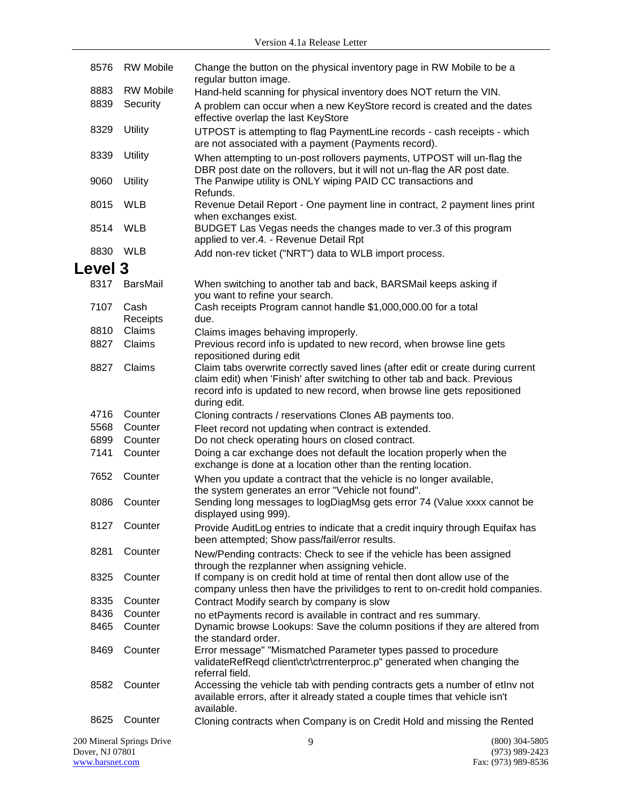| 8576    | <b>RW Mobile</b>          | Change the button on the physical inventory page in RW Mobile to be a<br>regular button image.                                                                           |                  |
|---------|---------------------------|--------------------------------------------------------------------------------------------------------------------------------------------------------------------------|------------------|
| 8883    | <b>RW Mobile</b>          | Hand-held scanning for physical inventory does NOT return the VIN.                                                                                                       |                  |
| 8839    | Security                  | A problem can occur when a new KeyStore record is created and the dates                                                                                                  |                  |
|         |                           | effective overlap the last KeyStore                                                                                                                                      |                  |
| 8329    | Utility                   | UTPOST is attempting to flag PaymentLine records - cash receipts - which<br>are not associated with a payment (Payments record).                                         |                  |
| 8339    | <b>Utility</b>            | When attempting to un-post rollovers payments, UTPOST will un-flag the<br>DBR post date on the rollovers, but it will not un-flag the AR post date.                      |                  |
| 9060    | <b>Utility</b>            | The Panwipe utility is ONLY wiping PAID CC transactions and<br>Refunds.                                                                                                  |                  |
| 8015    | <b>WLB</b>                | Revenue Detail Report - One payment line in contract, 2 payment lines print<br>when exchanges exist.                                                                     |                  |
| 8514    | <b>WLB</b>                | BUDGET Las Vegas needs the changes made to ver.3 of this program<br>applied to ver.4. - Revenue Detail Rpt                                                               |                  |
| 8830    | WLB                       | Add non-rev ticket ("NRT") data to WLB import process.                                                                                                                   |                  |
| Level 3 |                           |                                                                                                                                                                          |                  |
| 8317    | BarsMail                  | When switching to another tab and back, BARSMail keeps asking if<br>you want to refine your search.                                                                      |                  |
| 7107    | Cash<br>Receipts          | Cash receipts Program cannot handle \$1,000,000.00 for a total<br>due.                                                                                                   |                  |
| 8810    | Claims                    | Claims images behaving improperly.                                                                                                                                       |                  |
| 8827    | Claims                    | Previous record info is updated to new record, when browse line gets                                                                                                     |                  |
| 8827    | Claims                    | repositioned during edit<br>Claim tabs overwrite correctly saved lines (after edit or create during current                                                              |                  |
|         |                           | claim edit) when 'Finish' after switching to other tab and back. Previous<br>record info is updated to new record, when browse line gets repositioned<br>during edit.    |                  |
| 4716    | Counter                   | Cloning contracts / reservations Clones AB payments too.                                                                                                                 |                  |
| 5568    | Counter                   | Fleet record not updating when contract is extended.                                                                                                                     |                  |
| 6899    | Counter                   | Do not check operating hours on closed contract.                                                                                                                         |                  |
| 7141    | Counter                   | Doing a car exchange does not default the location properly when the<br>exchange is done at a location other than the renting location.                                  |                  |
| 7652    | Counter                   | When you update a contract that the vehicle is no longer available,<br>the system generates an error "Vehicle not found".                                                |                  |
| 8086    | Counter                   | Sending long messages to logDiagMsg gets error 74 (Value xxxx cannot be<br>displayed using 999).                                                                         |                  |
| 8127    | Counter                   | Provide AuditLog entries to indicate that a credit inquiry through Equifax has<br>been attempted; Show pass/fail/error results.                                          |                  |
| 8281    | Counter                   | New/Pending contracts: Check to see if the vehicle has been assigned                                                                                                     |                  |
| 8325    | Counter                   | through the rezplanner when assigning vehicle.<br>If company is on credit hold at time of rental then dont allow use of the                                              |                  |
|         |                           | company unless then have the privilidges to rent to on-credit hold companies.                                                                                            |                  |
| 8335    | Counter                   | Contract Modify search by company is slow                                                                                                                                |                  |
| 8436    | Counter                   | no etPayments record is available in contract and res summary.                                                                                                           |                  |
| 8465    | Counter                   | Dynamic browse Lookups: Save the column positions if they are altered from<br>the standard order.                                                                        |                  |
| 8469    | Counter                   | Error message" "Mismatched Parameter types passed to procedure<br>validateRefReqd client\ctr\ctrrenterproc.p" generated when changing the<br>referral field.             |                  |
| 8582    | Counter                   | Accessing the vehicle tab with pending contracts gets a number of etlny not<br>available errors, after it already stated a couple times that vehicle isn't<br>available. |                  |
| 8625    | Counter                   | Cloning contracts when Company is on Credit Hold and missing the Rented                                                                                                  |                  |
|         | 200 Mineral Springs Drive | 9                                                                                                                                                                        | $(800)$ 304-5805 |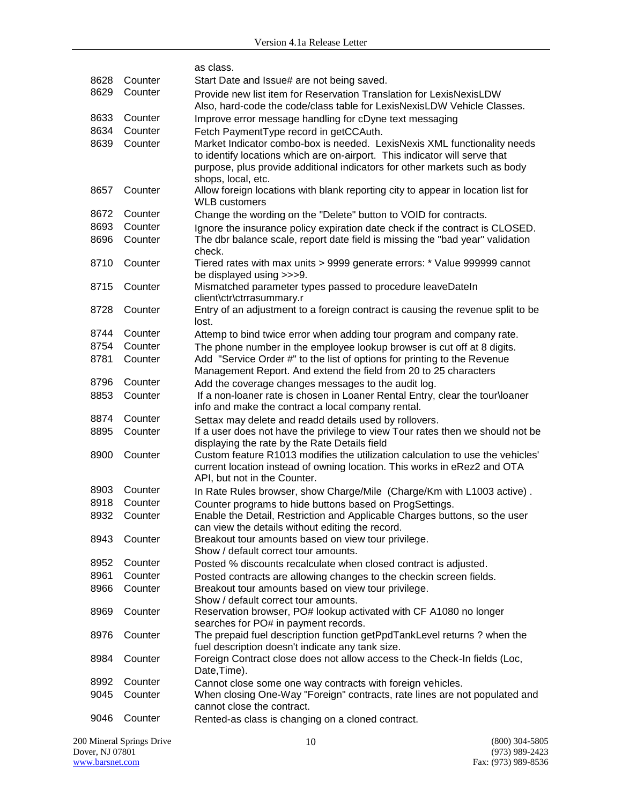|      |         | as class.                                                                                                                                                                                                                                                  |
|------|---------|------------------------------------------------------------------------------------------------------------------------------------------------------------------------------------------------------------------------------------------------------------|
| 8628 | Counter | Start Date and Issue# are not being saved.                                                                                                                                                                                                                 |
| 8629 | Counter | Provide new list item for Reservation Translation for LexisNexisLDW<br>Also, hard-code the code/class table for LexisNexisLDW Vehicle Classes.                                                                                                             |
| 8633 | Counter | Improve error message handling for cDyne text messaging                                                                                                                                                                                                    |
| 8634 | Counter | Fetch PaymentType record in getCCAuth.                                                                                                                                                                                                                     |
| 8639 | Counter | Market Indicator combo-box is needed. LexisNexis XML functionality needs<br>to identify locations which are on-airport. This indicator will serve that<br>purpose, plus provide additional indicators for other markets such as body<br>shops, local, etc. |
| 8657 | Counter | Allow foreign locations with blank reporting city to appear in location list for<br><b>WLB</b> customers                                                                                                                                                   |
| 8672 | Counter | Change the wording on the "Delete" button to VOID for contracts.                                                                                                                                                                                           |
| 8693 | Counter | Ignore the insurance policy expiration date check if the contract is CLOSED.                                                                                                                                                                               |
| 8696 | Counter | The dbr balance scale, report date field is missing the "bad year" validation<br>check.                                                                                                                                                                    |
| 8710 | Counter | Tiered rates with max units > 9999 generate errors: * Value 999999 cannot<br>be displayed using >>>9.                                                                                                                                                      |
| 8715 | Counter | Mismatched parameter types passed to procedure leaveDateIn<br>client\ctr\ctrrasummary.r                                                                                                                                                                    |
| 8728 | Counter | Entry of an adjustment to a foreign contract is causing the revenue split to be<br>lost.                                                                                                                                                                   |
| 8744 | Counter | Attemp to bind twice error when adding tour program and company rate.                                                                                                                                                                                      |
| 8754 | Counter | The phone number in the employee lookup browser is cut off at 8 digits.                                                                                                                                                                                    |
| 8781 | Counter | Add "Service Order #" to the list of options for printing to the Revenue<br>Management Report. And extend the field from 20 to 25 characters                                                                                                               |
| 8796 | Counter | Add the coverage changes messages to the audit log.                                                                                                                                                                                                        |
| 8853 | Counter | If a non-loaner rate is chosen in Loaner Rental Entry, clear the tour\loaner<br>info and make the contract a local company rental.                                                                                                                         |
| 8874 | Counter | Settax may delete and readd details used by rollovers.                                                                                                                                                                                                     |
| 8895 | Counter | If a user does not have the privilege to view Tour rates then we should not be<br>displaying the rate by the Rate Details field                                                                                                                            |
| 8900 | Counter | Custom feature R1013 modifies the utilization calculation to use the vehicles'<br>current location instead of owning location. This works in eRez2 and OTA<br>API, but not in the Counter.                                                                 |
| 8903 | Counter | In Rate Rules browser, show Charge/Mile (Charge/Km with L1003 active).                                                                                                                                                                                     |
| 8918 | Counter | Counter programs to hide buttons based on ProgSettings.                                                                                                                                                                                                    |
| 8932 | Counter | Enable the Detail, Restriction and Applicable Charges buttons, so the user<br>can view the details without editing the record.                                                                                                                             |
| 8943 | Counter | Breakout tour amounts based on view tour privilege.<br>Show / default correct tour amounts.                                                                                                                                                                |
| 8952 | Counter | Posted % discounts recalculate when closed contract is adjusted.                                                                                                                                                                                           |
| 8961 | Counter | Posted contracts are allowing changes to the checkin screen fields.                                                                                                                                                                                        |
| 8966 | Counter | Breakout tour amounts based on view tour privilege.<br>Show / default correct tour amounts.                                                                                                                                                                |
| 8969 | Counter | Reservation browser, PO# lookup activated with CF A1080 no longer<br>searches for PO# in payment records.                                                                                                                                                  |
| 8976 | Counter | The prepaid fuel description function getPpdTankLevel returns ? when the<br>fuel description doesn't indicate any tank size.                                                                                                                               |
| 8984 | Counter | Foreign Contract close does not allow access to the Check-In fields (Loc,<br>Date, Time).                                                                                                                                                                  |
| 8992 | Counter | Cannot close some one way contracts with foreign vehicles.                                                                                                                                                                                                 |
| 9045 | Counter | When closing One-Way "Foreign" contracts, rate lines are not populated and<br>cannot close the contract.                                                                                                                                                   |
| 9046 | Counter | Rented-as class is changing on a cloned contract.                                                                                                                                                                                                          |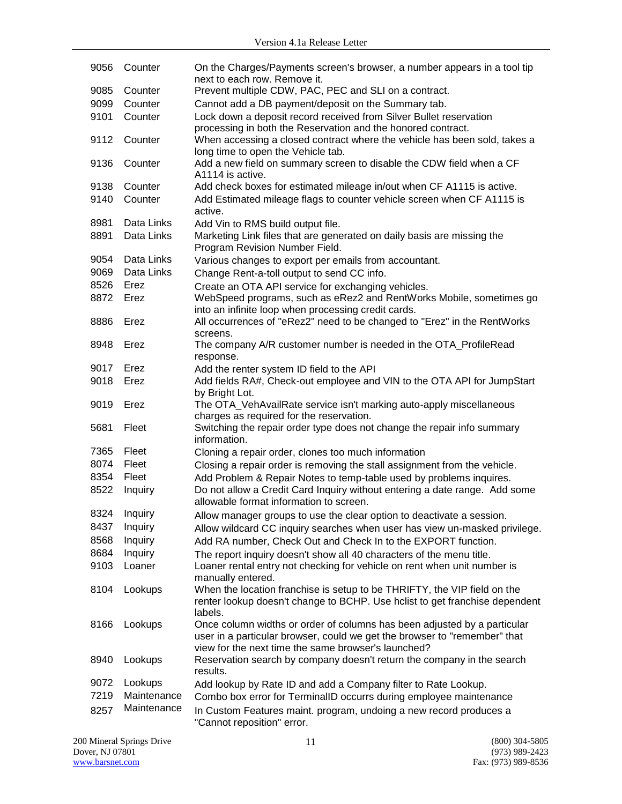| 9056 | Counter     | On the Charges/Payments screen's browser, a number appears in a tool tip<br>next to each row. Remove it.                                                                                                     |
|------|-------------|--------------------------------------------------------------------------------------------------------------------------------------------------------------------------------------------------------------|
| 9085 | Counter     | Prevent multiple CDW, PAC, PEC and SLI on a contract.                                                                                                                                                        |
| 9099 | Counter     | Cannot add a DB payment/deposit on the Summary tab.                                                                                                                                                          |
| 9101 | Counter     | Lock down a deposit record received from Silver Bullet reservation<br>processing in both the Reservation and the honored contract.                                                                           |
| 9112 | Counter     | When accessing a closed contract where the vehicle has been sold, takes a<br>long time to open the Vehicle tab.                                                                                              |
| 9136 | Counter     | Add a new field on summary screen to disable the CDW field when a CF<br>A1114 is active.                                                                                                                     |
| 9138 | Counter     | Add check boxes for estimated mileage in/out when CF A1115 is active.                                                                                                                                        |
| 9140 | Counter     | Add Estimated mileage flags to counter vehicle screen when CF A1115 is<br>active.                                                                                                                            |
| 8981 | Data Links  | Add Vin to RMS build output file.                                                                                                                                                                            |
| 8891 | Data Links  | Marketing Link files that are generated on daily basis are missing the<br>Program Revision Number Field.                                                                                                     |
| 9054 | Data Links  | Various changes to export per emails from accountant.                                                                                                                                                        |
| 9069 | Data Links  | Change Rent-a-toll output to send CC info.                                                                                                                                                                   |
| 8526 | Erez        | Create an OTA API service for exchanging vehicles.                                                                                                                                                           |
| 8872 | Erez        | WebSpeed programs, such as eRez2 and RentWorks Mobile, sometimes go<br>into an infinite loop when processing credit cards.                                                                                   |
| 8886 | Erez        | All occurrences of "eRez2" need to be changed to "Erez" in the RentWorks<br>screens.                                                                                                                         |
| 8948 | Erez        | The company A/R customer number is needed in the OTA_ProfileRead<br>response.                                                                                                                                |
| 9017 | Erez        | Add the renter system ID field to the API                                                                                                                                                                    |
| 9018 | Erez        | Add fields RA#, Check-out employee and VIN to the OTA API for JumpStart<br>by Bright Lot.                                                                                                                    |
| 9019 | Erez        | The OTA_VehAvailRate service isn't marking auto-apply miscellaneous<br>charges as required for the reservation.                                                                                              |
| 5681 | Fleet       | Switching the repair order type does not change the repair info summary<br>information.                                                                                                                      |
| 7365 | Fleet       | Cloning a repair order, clones too much information                                                                                                                                                          |
| 8074 | Fleet       | Closing a repair order is removing the stall assignment from the vehicle.                                                                                                                                    |
| 8354 | Fleet       | Add Problem & Repair Notes to temp-table used by problems inquires.                                                                                                                                          |
| 8522 | Inquiry     | Do not allow a Credit Card Inquiry without entering a date range. Add some<br>allowable format information to screen.                                                                                        |
| 8324 | Inquiry     | Allow manager groups to use the clear option to deactivate a session.                                                                                                                                        |
| 8437 | Inquiry     | Allow wildcard CC inquiry searches when user has view un-masked privilege.                                                                                                                                   |
| 8568 | Inquiry     | Add RA number, Check Out and Check In to the EXPORT function.                                                                                                                                                |
| 8684 | Inquiry     | The report inquiry doesn't show all 40 characters of the menu title.                                                                                                                                         |
| 9103 | Loaner      | Loaner rental entry not checking for vehicle on rent when unit number is<br>manually entered.                                                                                                                |
| 8104 | Lookups     | When the location franchise is setup to be THRIFTY, the VIP field on the<br>renter lookup doesn't change to BCHP. Use holist to get franchise dependent<br>labels.                                           |
| 8166 | Lookups     | Once column widths or order of columns has been adjusted by a particular<br>user in a particular browser, could we get the browser to "remember" that<br>view for the next time the same browser's launched? |
| 8940 | Lookups     | Reservation search by company doesn't return the company in the search<br>results.                                                                                                                           |
| 9072 | Lookups     | Add lookup by Rate ID and add a Company filter to Rate Lookup.                                                                                                                                               |
| 7219 | Maintenance | Combo box error for TerminalID occurrs during employee maintenance                                                                                                                                           |
| 8257 | Maintenance | In Custom Features maint. program, undoing a new record produces a<br>"Cannot reposition" error.                                                                                                             |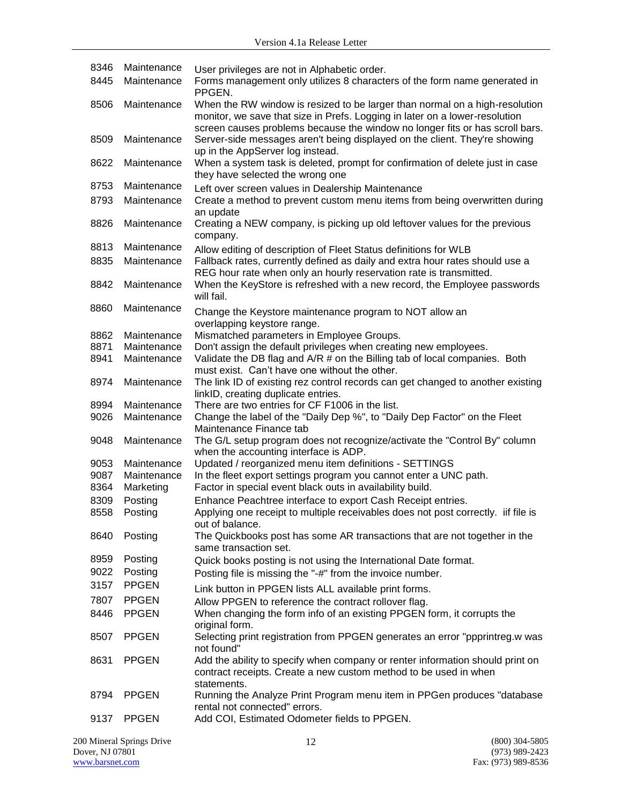| 8346 | Maintenance  | User privileges are not in Alphabetic order.                                                                                                                                                                                               |
|------|--------------|--------------------------------------------------------------------------------------------------------------------------------------------------------------------------------------------------------------------------------------------|
| 8445 | Maintenance  | Forms management only utilizes 8 characters of the form name generated in<br>PPGEN.                                                                                                                                                        |
| 8506 | Maintenance  | When the RW window is resized to be larger than normal on a high-resolution<br>monitor, we save that size in Prefs. Logging in later on a lower-resolution<br>screen causes problems because the window no longer fits or has scroll bars. |
| 8509 | Maintenance  | Server-side messages aren't being displayed on the client. They're showing<br>up in the AppServer log instead.                                                                                                                             |
| 8622 | Maintenance  | When a system task is deleted, prompt for confirmation of delete just in case<br>they have selected the wrong one                                                                                                                          |
| 8753 | Maintenance  | Left over screen values in Dealership Maintenance                                                                                                                                                                                          |
| 8793 | Maintenance  | Create a method to prevent custom menu items from being overwritten during<br>an update                                                                                                                                                    |
| 8826 | Maintenance  | Creating a NEW company, is picking up old leftover values for the previous<br>company.                                                                                                                                                     |
| 8813 | Maintenance  | Allow editing of description of Fleet Status definitions for WLB                                                                                                                                                                           |
| 8835 | Maintenance  | Fallback rates, currently defined as daily and extra hour rates should use a<br>REG hour rate when only an hourly reservation rate is transmitted.                                                                                         |
| 8842 | Maintenance  | When the KeyStore is refreshed with a new record, the Employee passwords<br>will fail.                                                                                                                                                     |
| 8860 | Maintenance  | Change the Keystore maintenance program to NOT allow an<br>overlapping keystore range.                                                                                                                                                     |
| 8862 | Maintenance  | Mismatched parameters in Employee Groups.                                                                                                                                                                                                  |
| 8871 | Maintenance  | Don't assign the default privileges when creating new employees.                                                                                                                                                                           |
| 8941 | Maintenance  | Validate the DB flag and A/R # on the Billing tab of local companies. Both<br>must exist. Can't have one without the other.                                                                                                                |
| 8974 | Maintenance  | The link ID of existing rez control records can get changed to another existing<br>linkID, creating duplicate entries.                                                                                                                     |
| 8994 | Maintenance  | There are two entries for CF F1006 in the list.                                                                                                                                                                                            |
| 9026 | Maintenance  | Change the label of the "Daily Dep %", to "Daily Dep Factor" on the Fleet<br>Maintenance Finance tab                                                                                                                                       |
| 9048 | Maintenance  | The G/L setup program does not recognize/activate the "Control By" column<br>when the accounting interface is ADP.                                                                                                                         |
| 9053 | Maintenance  | Updated / reorganized menu item definitions - SETTINGS                                                                                                                                                                                     |
| 9087 | Maintenance  | In the fleet export settings program you cannot enter a UNC path.                                                                                                                                                                          |
| 8364 | Marketing    | Factor in special event black outs in availability build.                                                                                                                                                                                  |
| 8309 | Posting      | Enhance Peachtree interface to export Cash Receipt entries.                                                                                                                                                                                |
| 8558 | Posting      | Applying one receipt to multiple receivables does not post correctly. iif file is<br>out of balance.                                                                                                                                       |
| 8640 | Posting      | The Quickbooks post has some AR transactions that are not together in the<br>same transaction set.                                                                                                                                         |
| 8959 | Posting      | Quick books posting is not using the International Date format.                                                                                                                                                                            |
| 9022 | Posting      | Posting file is missing the "-#" from the invoice number.                                                                                                                                                                                  |
| 3157 | <b>PPGEN</b> | Link button in PPGEN lists ALL available print forms.                                                                                                                                                                                      |
| 7807 | <b>PPGEN</b> | Allow PPGEN to reference the contract rollover flag.                                                                                                                                                                                       |
| 8446 | <b>PPGEN</b> | When changing the form info of an existing PPGEN form, it corrupts the<br>original form.                                                                                                                                                   |
| 8507 | <b>PPGEN</b> | Selecting print registration from PPGEN generates an error "ppprintreg.w was<br>not found"                                                                                                                                                 |
| 8631 | <b>PPGEN</b> | Add the ability to specify when company or renter information should print on<br>contract receipts. Create a new custom method to be used in when<br>statements.                                                                           |
| 8794 | <b>PPGEN</b> | Running the Analyze Print Program menu item in PPGen produces "database"<br>rental not connected" errors.                                                                                                                                  |
| 9137 | <b>PPGEN</b> | Add COI, Estimated Odometer fields to PPGEN.                                                                                                                                                                                               |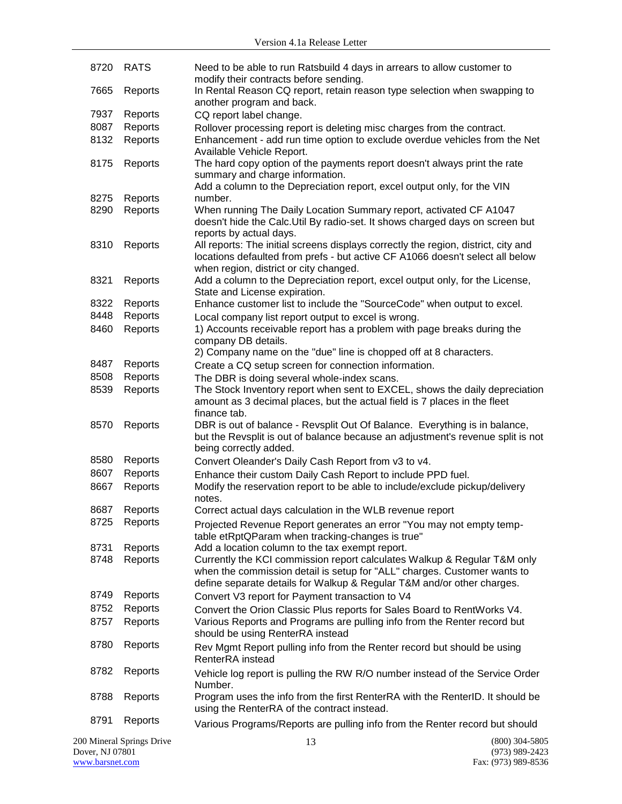| 8720                                         | <b>RATS</b>        | Need to be able to run Ratsbuild 4 days in arrears to allow customer to<br>modify their contracts before sending.                                                                                                              |                                      |
|----------------------------------------------|--------------------|--------------------------------------------------------------------------------------------------------------------------------------------------------------------------------------------------------------------------------|--------------------------------------|
| 7665                                         | Reports            | In Rental Reason CQ report, retain reason type selection when swapping to<br>another program and back.                                                                                                                         |                                      |
| 7937                                         | Reports            | CQ report label change.                                                                                                                                                                                                        |                                      |
| 8087                                         | Reports            | Rollover processing report is deleting misc charges from the contract.                                                                                                                                                         |                                      |
| 8132                                         | Reports            | Enhancement - add run time option to exclude overdue vehicles from the Net<br>Available Vehicle Report.                                                                                                                        |                                      |
| 8175                                         | Reports            | The hard copy option of the payments report doesn't always print the rate<br>summary and charge information.<br>Add a column to the Depreciation report, excel output only, for the VIN                                        |                                      |
| 8275                                         | Reports            | number.                                                                                                                                                                                                                        |                                      |
| 8290                                         | Reports            | When running The Daily Location Summary report, activated CF A1047<br>doesn't hide the Calc. Util By radio-set. It shows charged days on screen but<br>reports by actual days.                                                 |                                      |
| 8310                                         | Reports            | All reports: The initial screens displays correctly the region, district, city and<br>locations defaulted from prefs - but active CF A1066 doesn't select all below<br>when region, district or city changed.                  |                                      |
| 8321                                         | Reports            | Add a column to the Depreciation report, excel output only, for the License,<br>State and License expiration.                                                                                                                  |                                      |
| 8322                                         | Reports            | Enhance customer list to include the "SourceCode" when output to excel.                                                                                                                                                        |                                      |
| 8448                                         | Reports            | Local company list report output to excel is wrong.                                                                                                                                                                            |                                      |
| 8460                                         | Reports            | 1) Accounts receivable report has a problem with page breaks during the<br>company DB details.                                                                                                                                 |                                      |
|                                              |                    | 2) Company name on the "due" line is chopped off at 8 characters.                                                                                                                                                              |                                      |
| 8487                                         | Reports            | Create a CQ setup screen for connection information.                                                                                                                                                                           |                                      |
| 8508<br>8539                                 | Reports<br>Reports | The DBR is doing several whole-index scans.<br>The Stock Inventory report when sent to EXCEL, shows the daily depreciation<br>amount as 3 decimal places, but the actual field is 7 places in the fleet                        |                                      |
| 8570                                         | Reports            | finance tab.<br>DBR is out of balance - Revsplit Out Of Balance. Everything is in balance,<br>but the Revsplit is out of balance because an adjustment's revenue split is not<br>being correctly added.                        |                                      |
| 8580                                         | Reports            | Convert Oleander's Daily Cash Report from v3 to v4.                                                                                                                                                                            |                                      |
| 8607                                         | Reports            | Enhance their custom Daily Cash Report to include PPD fuel.                                                                                                                                                                    |                                      |
| 8667                                         | Reports            | Modify the reservation report to be able to include/exclude pickup/delivery<br>notes.                                                                                                                                          |                                      |
| 8687                                         | Reports            | Correct actual days calculation in the WLB revenue report                                                                                                                                                                      |                                      |
| 8725                                         | Reports            | Projected Revenue Report generates an error "You may not empty temp-<br>table etRptQParam when tracking-changes is true"                                                                                                       |                                      |
| 8731                                         | Reports            | Add a location column to the tax exempt report.                                                                                                                                                                                |                                      |
| 8748                                         | Reports            | Currently the KCI commission report calculates Walkup & Regular T&M only<br>when the commission detail is setup for "ALL" charges. Customer wants to<br>define separate details for Walkup & Regular T&M and/or other charges. |                                      |
| 8749                                         | Reports            | Convert V3 report for Payment transaction to V4                                                                                                                                                                                |                                      |
| 8752                                         | Reports            | Convert the Orion Classic Plus reports for Sales Board to RentWorks V4.                                                                                                                                                        |                                      |
| 8757                                         | Reports            | Various Reports and Programs are pulling info from the Renter record but<br>should be using RenterRA instead                                                                                                                   |                                      |
| 8780                                         | Reports            | Rev Mgmt Report pulling info from the Renter record but should be using<br>RenterRA instead                                                                                                                                    |                                      |
| 8782                                         | Reports            | Vehicle log report is pulling the RW R/O number instead of the Service Order<br>Number.                                                                                                                                        |                                      |
| 8788                                         | Reports            | Program uses the info from the first RenterRA with the RenterID. It should be<br>using the RenterRA of the contract instead.                                                                                                   |                                      |
| 8791                                         | Reports            | Various Programs/Reports are pulling info from the Renter record but should                                                                                                                                                    |                                      |
| 200 Mineral Springs Drive<br>Dover, NJ 07801 |                    | 13                                                                                                                                                                                                                             | $(800)$ 304-5805<br>$(973)$ 989-2423 |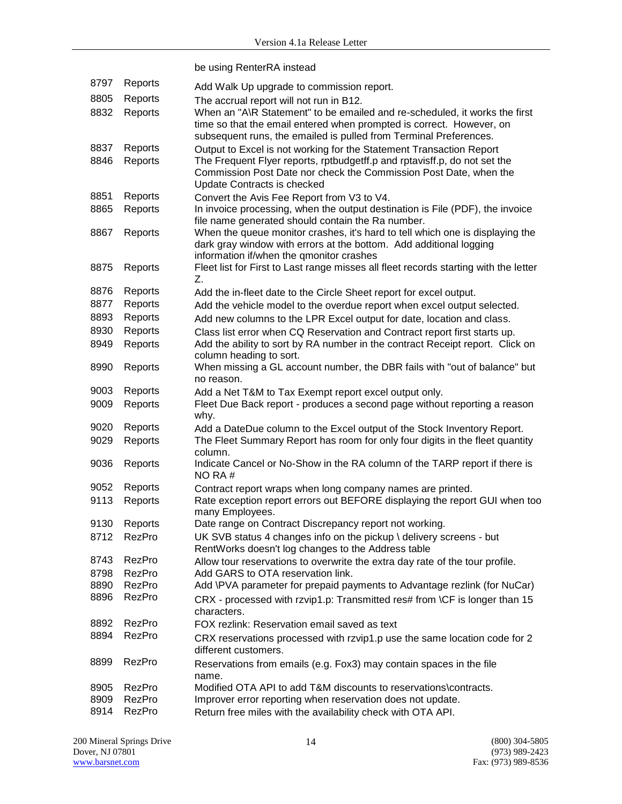|              |                  | be using RenterRA instead                                                                                     |
|--------------|------------------|---------------------------------------------------------------------------------------------------------------|
| 8797         | Reports          | Add Walk Up upgrade to commission report.                                                                     |
| 8805         | Reports          | The accrual report will not run in B12.                                                                       |
| 8832         | Reports          | When an "A\R Statement" to be emailed and re-scheduled, it works the first                                    |
|              |                  | time so that the email entered when prompted is correct. However, on                                          |
|              |                  | subsequent runs, the emailed is pulled from Terminal Preferences.                                             |
| 8837         | Reports          | Output to Excel is not working for the Statement Transaction Report                                           |
| 8846         | Reports          | The Frequent Flyer reports, rptbudgetff.p and rptavisff.p, do not set the                                     |
|              |                  | Commission Post Date nor check the Commission Post Date, when the<br>Update Contracts is checked              |
| 8851         | Reports          | Convert the Avis Fee Report from V3 to V4.                                                                    |
| 8865         | Reports          | In invoice processing, when the output destination is File (PDF), the invoice                                 |
|              |                  | file name generated should contain the Ra number.                                                             |
| 8867         | Reports          | When the queue monitor crashes, it's hard to tell which one is displaying the                                 |
|              |                  | dark gray window with errors at the bottom. Add additional logging                                            |
|              |                  | information if/when the qmonitor crashes                                                                      |
| 8875         | Reports          | Fleet list for First to Last range misses all fleet records starting with the letter<br>Z.                    |
| 8876         | Reports          | Add the in-fleet date to the Circle Sheet report for excel output.                                            |
| 8877         | Reports          | Add the vehicle model to the overdue report when excel output selected.                                       |
| 8893         | Reports          | Add new columns to the LPR Excel output for date, location and class.                                         |
| 8930         | Reports          | Class list error when CQ Reservation and Contract report first starts up.                                     |
| 8949         | Reports          | Add the ability to sort by RA number in the contract Receipt report. Click on                                 |
|              |                  | column heading to sort.                                                                                       |
| 8990         | Reports          | When missing a GL account number, the DBR fails with "out of balance" but<br>no reason.                       |
| 9003         | Reports          | Add a Net T&M to Tax Exempt report excel output only.                                                         |
| 9009         | Reports          | Fleet Due Back report - produces a second page without reporting a reason                                     |
|              |                  | why.                                                                                                          |
| 9020         | Reports          | Add a DateDue column to the Excel output of the Stock Inventory Report.                                       |
| 9029         | Reports          | The Fleet Summary Report has room for only four digits in the fleet quantity                                  |
|              |                  | column.                                                                                                       |
| 9036         | Reports          | Indicate Cancel or No-Show in the RA column of the TARP report if there is<br>NO RA#                          |
| 9052         | Reports          | Contract report wraps when long company names are printed.                                                    |
| 9113         | Reports          | Rate exception report errors out BEFORE displaying the report GUI when too                                    |
|              |                  | many Employees.                                                                                               |
| 9130         | Reports          | Date range on Contract Discrepancy report not working.                                                        |
| 8712         | RezPro           | UK SVB status 4 changes info on the pickup \ delivery screens - but                                           |
|              |                  | RentWorks doesn't log changes to the Address table                                                            |
| 8743         | RezPro           | Allow tour reservations to overwrite the extra day rate of the tour profile.                                  |
| 8798<br>8890 | RezPro<br>RezPro | Add GARS to OTA reservation link.<br>Add \PVA parameter for prepaid payments to Advantage rezlink (for NuCar) |
| 8896         | RezPro           | CRX - processed with rzvip1.p: Transmitted res# from \CF is longer than 15                                    |
|              |                  | characters.                                                                                                   |
| 8892         | RezPro           | FOX rezlink: Reservation email saved as text                                                                  |
| 8894         | RezPro           | CRX reservations processed with rzvip1.p use the same location code for 2                                     |
|              |                  | different customers.                                                                                          |
| 8899         | RezPro           | Reservations from emails (e.g. Fox3) may contain spaces in the file                                           |
|              |                  | name.                                                                                                         |
| 8905         | RezPro           | Modified OTA API to add T&M discounts to reservations\contracts.                                              |
| 8909         | RezPro           | Improver error reporting when reservation does not update.                                                    |
| 8914         | RezPro           | Return free miles with the availability check with OTA API.                                                   |